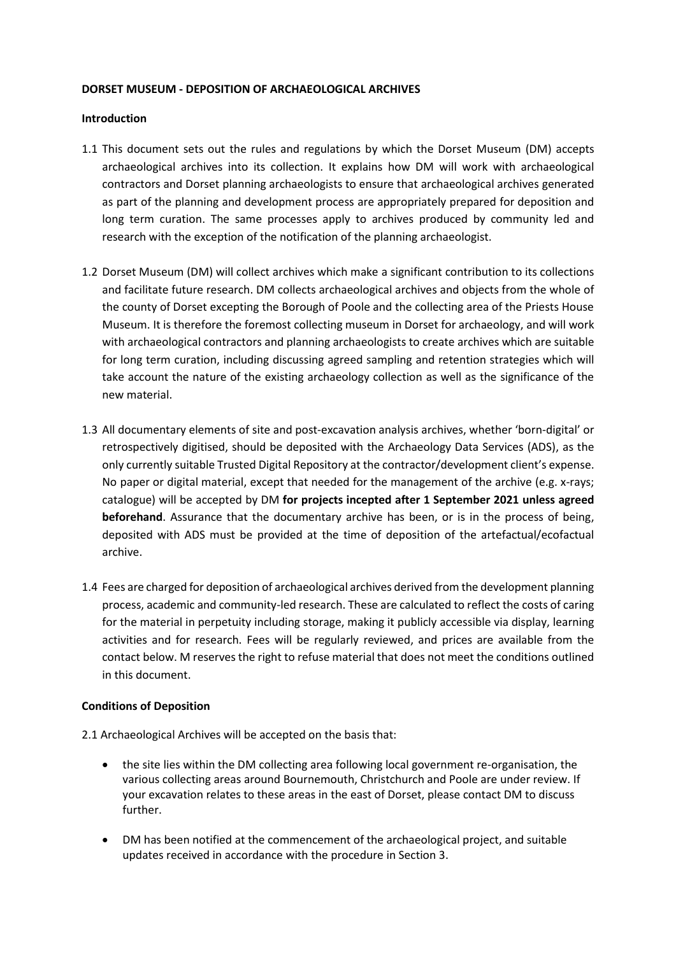## **DORSET MUSEUM - DEPOSITION OF ARCHAEOLOGICAL ARCHIVES**

#### **Introduction**

- 1.1 This document sets out the rules and regulations by which the Dorset Museum (DM) accepts archaeological archives into its collection. It explains how DM will work with archaeological contractors and Dorset planning archaeologists to ensure that archaeological archives generated as part of the planning and development process are appropriately prepared for deposition and long term curation. The same processes apply to archives produced by community led and research with the exception of the notification of the planning archaeologist.
- 1.2 Dorset Museum (DM) will collect archives which make a significant contribution to its collections and facilitate future research. DM collects archaeological archives and objects from the whole of the county of Dorset excepting the Borough of Poole and the collecting area of the Priests House Museum. It is therefore the foremost collecting museum in Dorset for archaeology, and will work with archaeological contractors and planning archaeologists to create archives which are suitable for long term curation, including discussing agreed sampling and retention strategies which will take account the nature of the existing archaeology collection as well as the significance of the new material.
- 1.3 All documentary elements of site and post-excavation analysis archives, whether 'born-digital' or retrospectively digitised, should be deposited with the Archaeology Data Services (ADS), as the only currently suitable Trusted Digital Repository at the contractor/development client's expense. No paper or digital material, except that needed for the management of the archive (e.g. x-rays; catalogue) will be accepted by DM **for projects incepted after 1 September 2021 unless agreed beforehand**. Assurance that the documentary archive has been, or is in the process of being, deposited with ADS must be provided at the time of deposition of the artefactual/ecofactual archive.
- 1.4 Fees are charged for deposition of archaeological archives derived from the development planning process, academic and community-led research. These are calculated to reflect the costs of caring for the material in perpetuity including storage, making it publicly accessible via display, learning activities and for research. Fees will be regularly reviewed, and prices are available from the contact below. M reserves the right to refuse material that does not meet the conditions outlined in this document.

## **Conditions of Deposition**

- 2.1 Archaeological Archives will be accepted on the basis that:
	- the site lies within the DM collecting area following local government re-organisation, the various collecting areas around Bournemouth, Christchurch and Poole are under review. If your excavation relates to these areas in the east of Dorset, please contact DM to discuss further.
	- DM has been notified at the commencement of the archaeological project, and suitable updates received in accordance with the procedure in Section 3.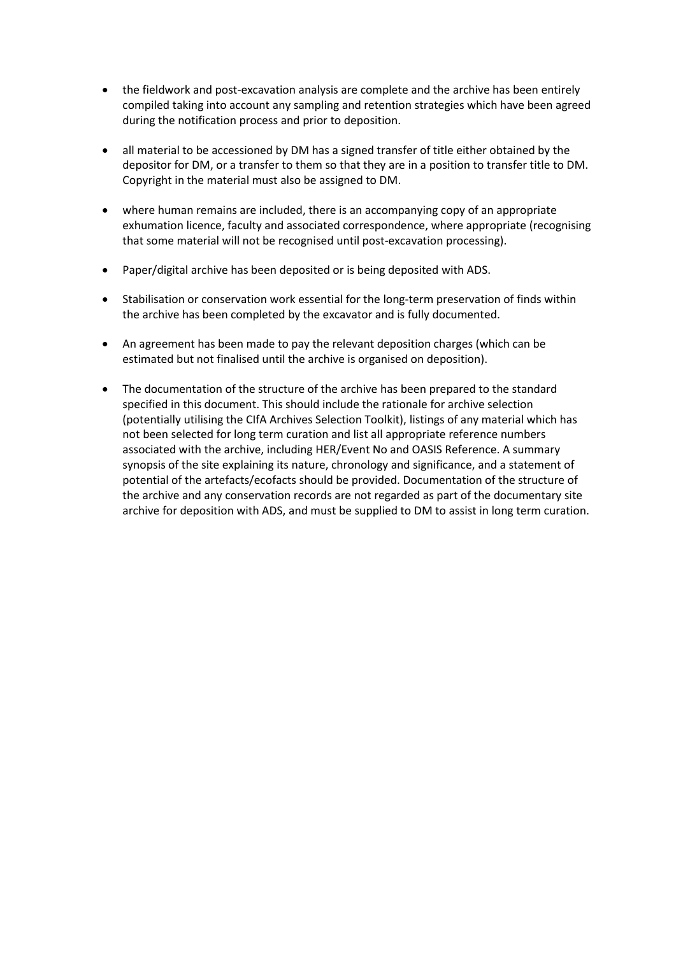- the fieldwork and post-excavation analysis are complete and the archive has been entirely compiled taking into account any sampling and retention strategies which have been agreed during the notification process and prior to deposition.
- all material to be accessioned by DM has a signed transfer of title either obtained by the depositor for DM, or a transfer to them so that they are in a position to transfer title to DM. Copyright in the material must also be assigned to DM.
- where human remains are included, there is an accompanying copy of an appropriate exhumation licence, faculty and associated correspondence, where appropriate (recognising that some material will not be recognised until post-excavation processing).
- Paper/digital archive has been deposited or is being deposited with ADS.
- Stabilisation or conservation work essential for the long-term preservation of finds within the archive has been completed by the excavator and is fully documented.
- An agreement has been made to pay the relevant deposition charges (which can be estimated but not finalised until the archive is organised on deposition).
- The documentation of the structure of the archive has been prepared to the standard specified in this document. This should include the rationale for archive selection (potentially utilising the CIfA Archives Selection Toolkit), listings of any material which has not been selected for long term curation and list all appropriate reference numbers associated with the archive, including HER/Event No and OASIS Reference. A summary synopsis of the site explaining its nature, chronology and significance, and a statement of potential of the artefacts/ecofacts should be provided. Documentation of the structure of the archive and any conservation records are not regarded as part of the documentary site archive for deposition with ADS, and must be supplied to DM to assist in long term curation.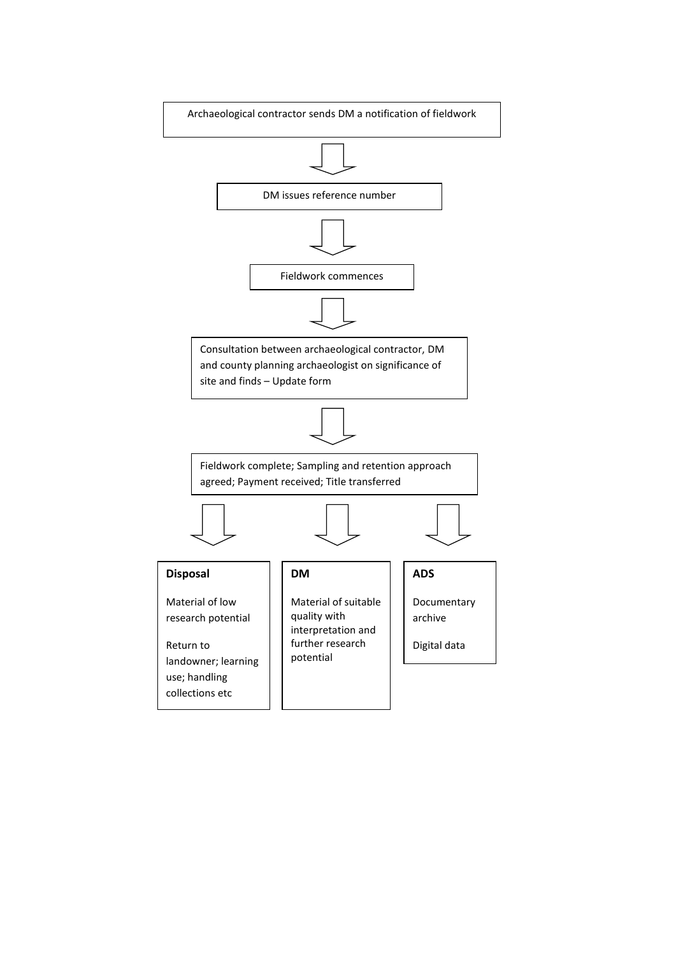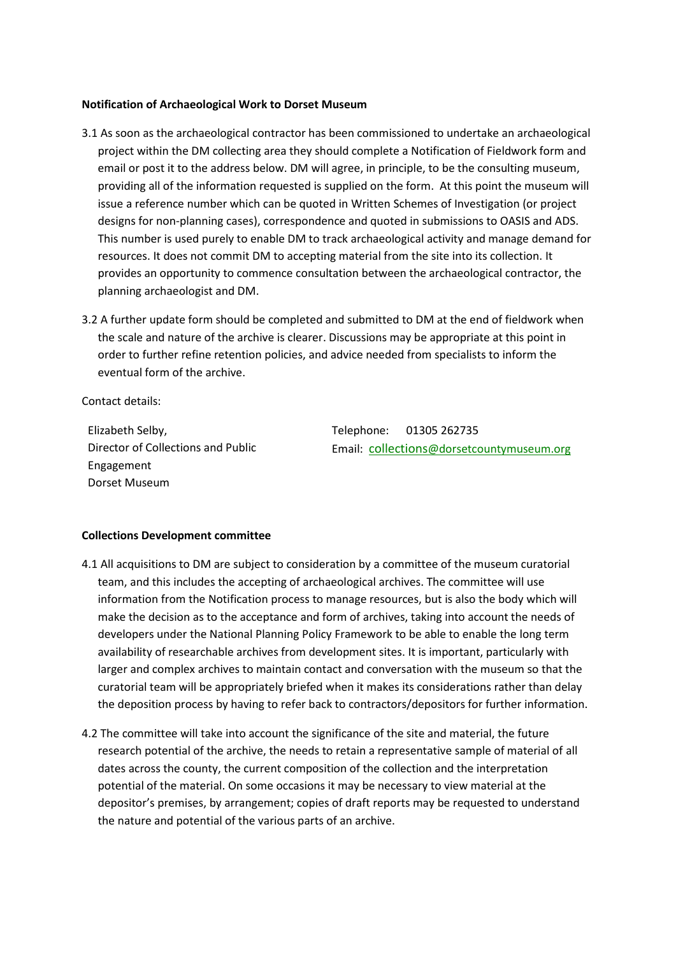#### **Notification of Archaeological Work to Dorset Museum**

- 3.1 As soon as the archaeological contractor has been commissioned to undertake an archaeological project within the DM collecting area they should complete a Notification of Fieldwork form and email or post it to the address below. DM will agree, in principle, to be the consulting museum, providing all of the information requested is supplied on the form. At this point the museum will issue a reference number which can be quoted in Written Schemes of Investigation (or project designs for non-planning cases), correspondence and quoted in submissions to OASIS and ADS. This number is used purely to enable DM to track archaeological activity and manage demand for resources. It does not commit DM to accepting material from the site into its collection. It provides an opportunity to commence consultation between the archaeological contractor, the planning archaeologist and DM.
- 3.2 A further update form should be completed and submitted to DM at the end of fieldwork when the scale and nature of the archive is clearer. Discussions may be appropriate at this point in order to further refine retention policies, and advice needed from specialists to inform the eventual form of the archive.

Contact details:

Elizabeth Selby, Director of Collections and Public Engagement Dorset Museum

Telephone: 01305 262735 Email: collections[@dorsetcountymuseum.org](mailto:collections@dorsetcountymuseum.org)

#### **Collections Development committee**

- 4.1 All acquisitions to DM are subject to consideration by a committee of the museum curatorial team, and this includes the accepting of archaeological archives. The committee will use information from the Notification process to manage resources, but is also the body which will make the decision as to the acceptance and form of archives, taking into account the needs of developers under the National Planning Policy Framework to be able to enable the long term availability of researchable archives from development sites. It is important, particularly with larger and complex archives to maintain contact and conversation with the museum so that the curatorial team will be appropriately briefed when it makes its considerations rather than delay the deposition process by having to refer back to contractors/depositors for further information.
- 4.2 The committee will take into account the significance of the site and material, the future research potential of the archive, the needs to retain a representative sample of material of all dates across the county, the current composition of the collection and the interpretation potential of the material. On some occasions it may be necessary to view material at the depositor's premises, by arrangement; copies of draft reports may be requested to understand the nature and potential of the various parts of an archive.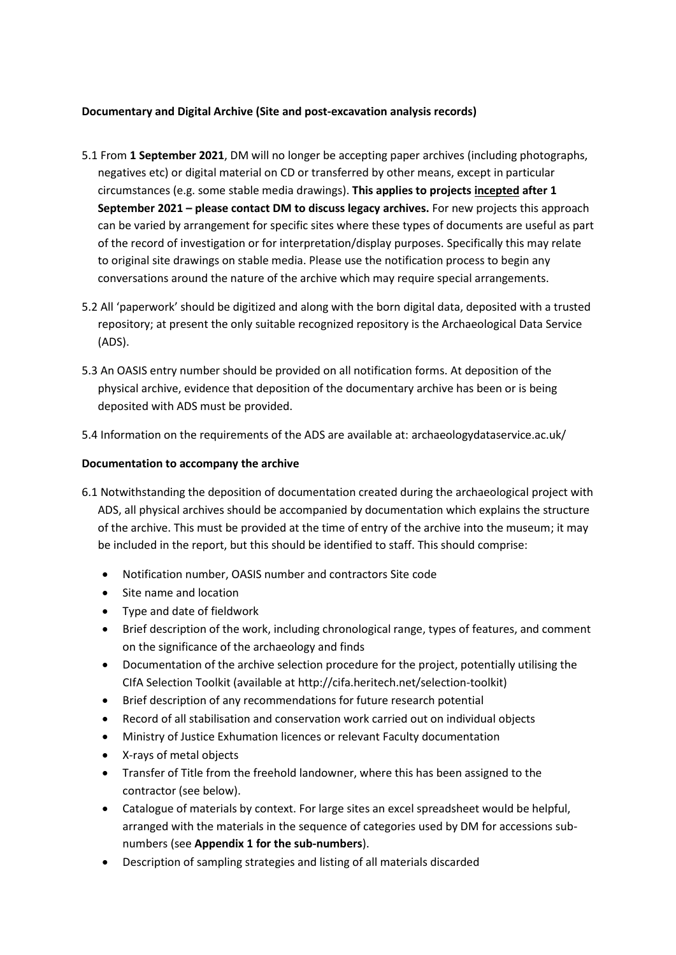# **Documentary and Digital Archive (Site and post-excavation analysis records)**

- 5.1 From **1 September 2021**, DM will no longer be accepting paper archives (including photographs, negatives etc) or digital material on CD or transferred by other means, except in particular circumstances (e.g. some stable media drawings). **This applies to projects incepted after 1 September 2021 – please contact DM to discuss legacy archives.** For new projects this approach can be varied by arrangement for specific sites where these types of documents are useful as part of the record of investigation or for interpretation/display purposes. Specifically this may relate to original site drawings on stable media. Please use the notification process to begin any conversations around the nature of the archive which may require special arrangements.
- 5.2 All 'paperwork' should be digitized and along with the born digital data, deposited with a trusted repository; at present the only suitable recognized repository is the Archaeological Data Service (ADS).
- 5.3 An OASIS entry number should be provided on all notification forms. At deposition of the physical archive, evidence that deposition of the documentary archive has been or is being deposited with ADS must be provided.
- 5.4 Information on the requirements of the ADS are available at: archaeologydataservice.ac.uk/

## **Documentation to accompany the archive**

- 6.1 Notwithstanding the deposition of documentation created during the archaeological project with ADS, all physical archives should be accompanied by documentation which explains the structure of the archive. This must be provided at the time of entry of the archive into the museum; it may be included in the report, but this should be identified to staff. This should comprise:
	- Notification number, OASIS number and contractors Site code
	- Site name and location
	- Type and date of fieldwork
	- Brief description of the work, including chronological range, types of features, and comment on the significance of the archaeology and finds
	- Documentation of the archive selection procedure for the project, potentially utilising the CIfA Selection Toolkit (available at http://cifa.heritech.net/selection-toolkit)
	- Brief description of any recommendations for future research potential
	- Record of all stabilisation and conservation work carried out on individual objects
	- Ministry of Justice Exhumation licences or relevant Faculty documentation
	- X-rays of metal objects
	- Transfer of Title from the freehold landowner, where this has been assigned to the contractor (see below).
	- Catalogue of materials by context. For large sites an excel spreadsheet would be helpful, arranged with the materials in the sequence of categories used by DM for accessions subnumbers (see **Appendix 1 for the sub-numbers**).
	- Description of sampling strategies and listing of all materials discarded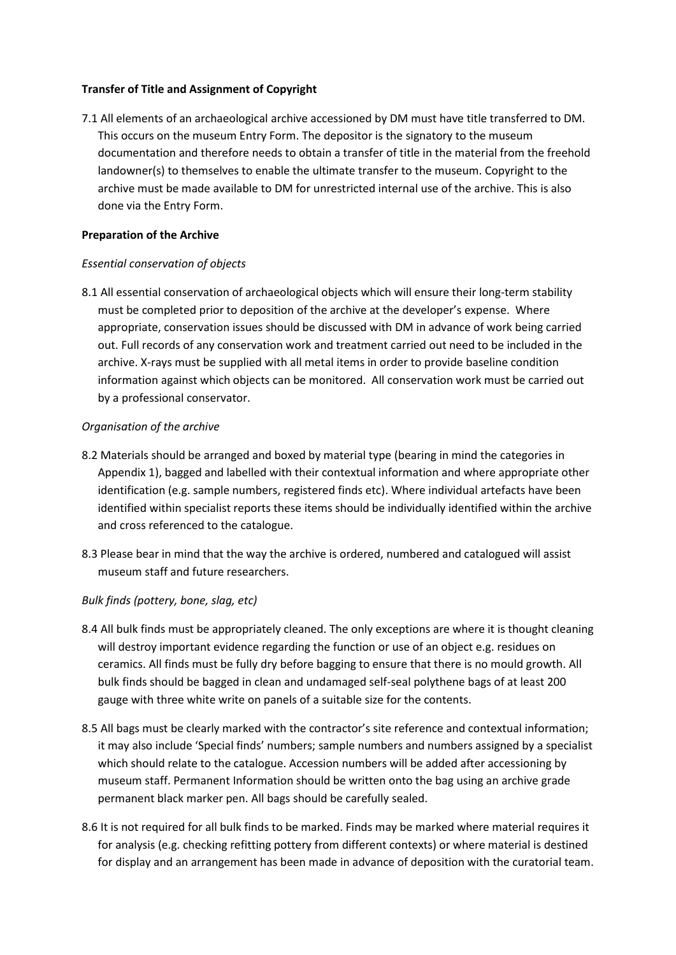# **Transfer of Title and Assignment of Copyright**

7.1 All elements of an archaeological archive accessioned by DM must have title transferred to DM. This occurs on the museum Entry Form. The depositor is the signatory to the museum documentation and therefore needs to obtain a transfer of title in the material from the freehold landowner(s) to themselves to enable the ultimate transfer to the museum. Copyright to the archive must be made available to DM for unrestricted internal use of the archive. This is also done via the Entry Form.

## **Preparation of the Archive**

## *Essential conservation of objects*

8.1 All essential conservation of archaeological objects which will ensure their long-term stability must be completed prior to deposition of the archive at the developer's expense. Where appropriate, conservation issues should be discussed with DM in advance of work being carried out. Full records of any conservation work and treatment carried out need to be included in the archive. X-rays must be supplied with all metal items in order to provide baseline condition information against which objects can be monitored. All conservation work must be carried out by a professional conservator.

## *Organisation of the archive*

- 8.2 Materials should be arranged and boxed by material type (bearing in mind the categories in Appendix 1), bagged and labelled with their contextual information and where appropriate other identification (e.g. sample numbers, registered finds etc). Where individual artefacts have been identified within specialist reports these items should be individually identified within the archive and cross referenced to the catalogue.
- 8.3 Please bear in mind that the way the archive is ordered, numbered and catalogued will assist museum staff and future researchers.

# *Bulk finds (pottery, bone, slag, etc)*

- 8.4 All bulk finds must be appropriately cleaned. The only exceptions are where it is thought cleaning will destroy important evidence regarding the function or use of an object e.g. residues on ceramics. All finds must be fully dry before bagging to ensure that there is no mould growth. All bulk finds should be bagged in clean and undamaged self-seal polythene bags of at least 200 gauge with three white write on panels of a suitable size for the contents.
- 8.5 All bags must be clearly marked with the contractor's site reference and contextual information; it may also include 'Special finds' numbers; sample numbers and numbers assigned by a specialist which should relate to the catalogue. Accession numbers will be added after accessioning by museum staff. Permanent Information should be written onto the bag using an archive grade permanent black marker pen. All bags should be carefully sealed.
- 8.6 It is not required for all bulk finds to be marked. Finds may be marked where material requires it for analysis (e.g. checking refitting pottery from different contexts) or where material is destined for display and an arrangement has been made in advance of deposition with the curatorial team.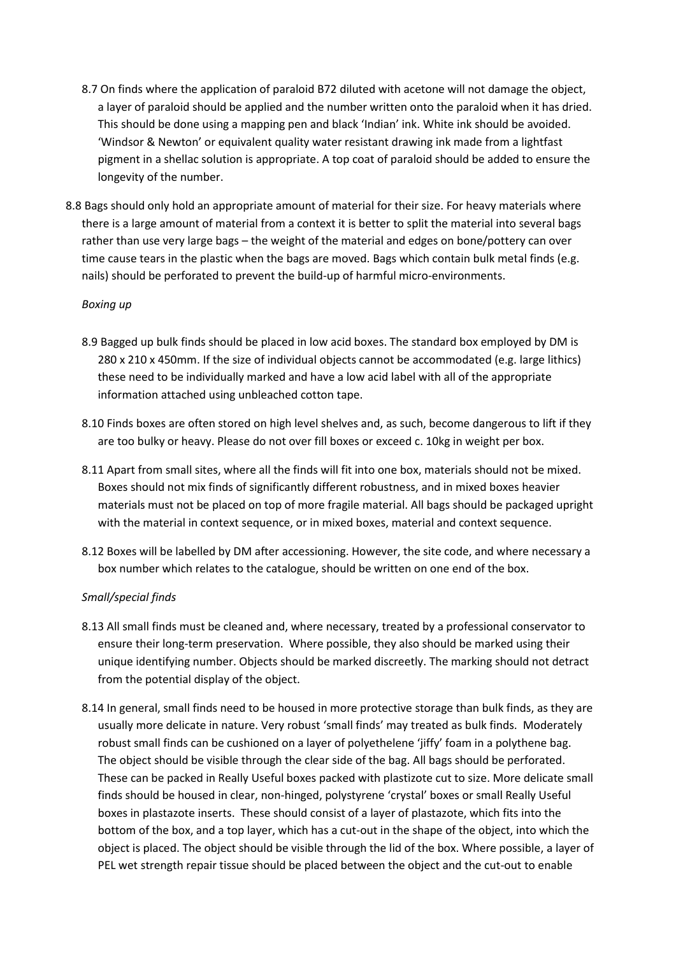- 8.7 On finds where the application of paraloid B72 diluted with acetone will not damage the object, a layer of paraloid should be applied and the number written onto the paraloid when it has dried. This should be done using a mapping pen and black 'Indian' ink. White ink should be avoided. 'Windsor & Newton' or equivalent quality water resistant drawing ink made from a lightfast pigment in a shellac solution is appropriate. A top coat of paraloid should be added to ensure the longevity of the number.
- 8.8 Bags should only hold an appropriate amount of material for their size. For heavy materials where there is a large amount of material from a context it is better to split the material into several bags rather than use very large bags – the weight of the material and edges on bone/pottery can over time cause tears in the plastic when the bags are moved. Bags which contain bulk metal finds (e.g. nails) should be perforated to prevent the build-up of harmful micro-environments.

#### *Boxing up*

- 8.9 Bagged up bulk finds should be placed in low acid boxes. The standard box employed by DM is 280 x 210 x 450mm. If the size of individual objects cannot be accommodated (e.g. large lithics) these need to be individually marked and have a low acid label with all of the appropriate information attached using unbleached cotton tape.
- 8.10 Finds boxes are often stored on high level shelves and, as such, become dangerous to lift if they are too bulky or heavy. Please do not over fill boxes or exceed c. 10kg in weight per box.
- 8.11 Apart from small sites, where all the finds will fit into one box, materials should not be mixed. Boxes should not mix finds of significantly different robustness, and in mixed boxes heavier materials must not be placed on top of more fragile material. All bags should be packaged upright with the material in context sequence, or in mixed boxes, material and context sequence.
- 8.12 Boxes will be labelled by DM after accessioning. However, the site code, and where necessary a box number which relates to the catalogue, should be written on one end of the box.

## *Small/special finds*

- 8.13 All small finds must be cleaned and, where necessary, treated by a professional conservator to ensure their long-term preservation. Where possible, they also should be marked using their unique identifying number. Objects should be marked discreetly. The marking should not detract from the potential display of the object.
- 8.14 In general, small finds need to be housed in more protective storage than bulk finds, as they are usually more delicate in nature. Very robust 'small finds' may treated as bulk finds. Moderately robust small finds can be cushioned on a layer of polyethelene 'jiffy' foam in a polythene bag. The object should be visible through the clear side of the bag. All bags should be perforated. These can be packed in Really Useful boxes packed with plastizote cut to size. More delicate small finds should be housed in clear, non-hinged, polystyrene 'crystal' boxes or small Really Useful boxes in plastazote inserts. These should consist of a layer of plastazote, which fits into the bottom of the box, and a top layer, which has a cut-out in the shape of the object, into which the object is placed. The object should be visible through the lid of the box. Where possible, a layer of PEL wet strength repair tissue should be placed between the object and the cut-out to enable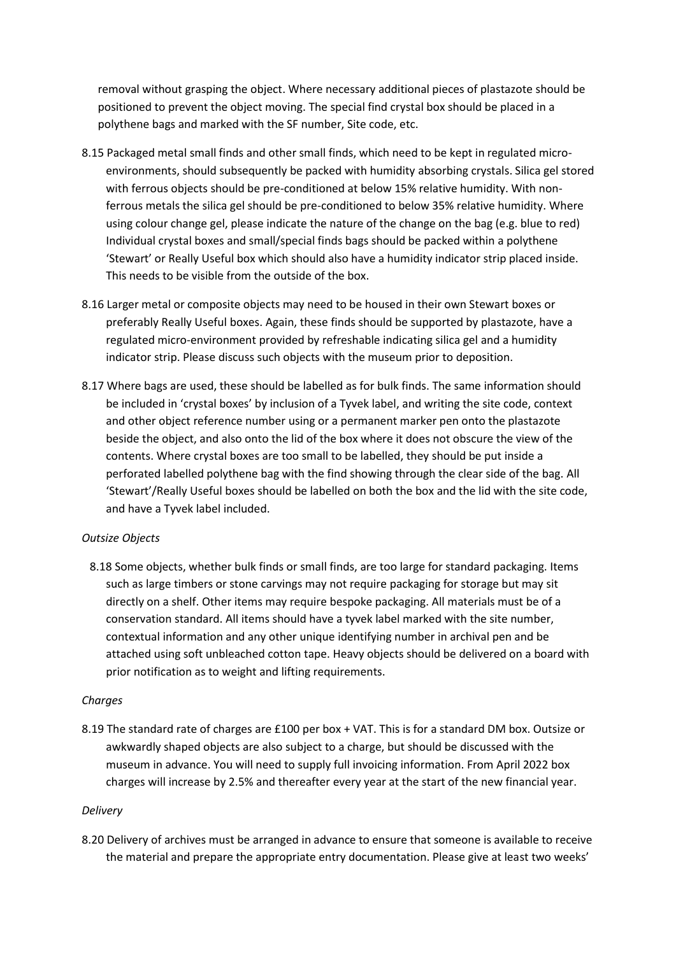removal without grasping the object. Where necessary additional pieces of plastazote should be positioned to prevent the object moving. The special find crystal box should be placed in a polythene bags and marked with the SF number, Site code, etc.

- 8.15 Packaged metal small finds and other small finds, which need to be kept in regulated microenvironments, should subsequently be packed with humidity absorbing crystals. Silica gel stored with ferrous objects should be pre-conditioned at below 15% relative humidity. With nonferrous metals the silica gel should be pre-conditioned to below 35% relative humidity. Where using colour change gel, please indicate the nature of the change on the bag (e.g. blue to red) Individual crystal boxes and small/special finds bags should be packed within a polythene 'Stewart' or Really Useful box which should also have a humidity indicator strip placed inside. This needs to be visible from the outside of the box.
- 8.16 Larger metal or composite objects may need to be housed in their own Stewart boxes or preferably Really Useful boxes. Again, these finds should be supported by plastazote, have a regulated micro-environment provided by refreshable indicating silica gel and a humidity indicator strip. Please discuss such objects with the museum prior to deposition.
- 8.17 Where bags are used, these should be labelled as for bulk finds. The same information should be included in 'crystal boxes' by inclusion of a Tyvek label, and writing the site code, context and other object reference number using or a permanent marker pen onto the plastazote beside the object, and also onto the lid of the box where it does not obscure the view of the contents. Where crystal boxes are too small to be labelled, they should be put inside a perforated labelled polythene bag with the find showing through the clear side of the bag. All 'Stewart'/Really Useful boxes should be labelled on both the box and the lid with the site code, and have a Tyvek label included.

## *Outsize Objects*

8.18 Some objects, whether bulk finds or small finds, are too large for standard packaging. Items such as large timbers or stone carvings may not require packaging for storage but may sit directly on a shelf. Other items may require bespoke packaging. All materials must be of a conservation standard. All items should have a tyvek label marked with the site number, contextual information and any other unique identifying number in archival pen and be attached using soft unbleached cotton tape. Heavy objects should be delivered on a board with prior notification as to weight and lifting requirements.

## *Charges*

8.19 The standard rate of charges are £100 per box + VAT. This is for a standard DM box. Outsize or awkwardly shaped objects are also subject to a charge, but should be discussed with the museum in advance. You will need to supply full invoicing information. From April 2022 box charges will increase by 2.5% and thereafter every year at the start of the new financial year.

# *Delivery*

8.20 Delivery of archives must be arranged in advance to ensure that someone is available to receive the material and prepare the appropriate entry documentation. Please give at least two weeks'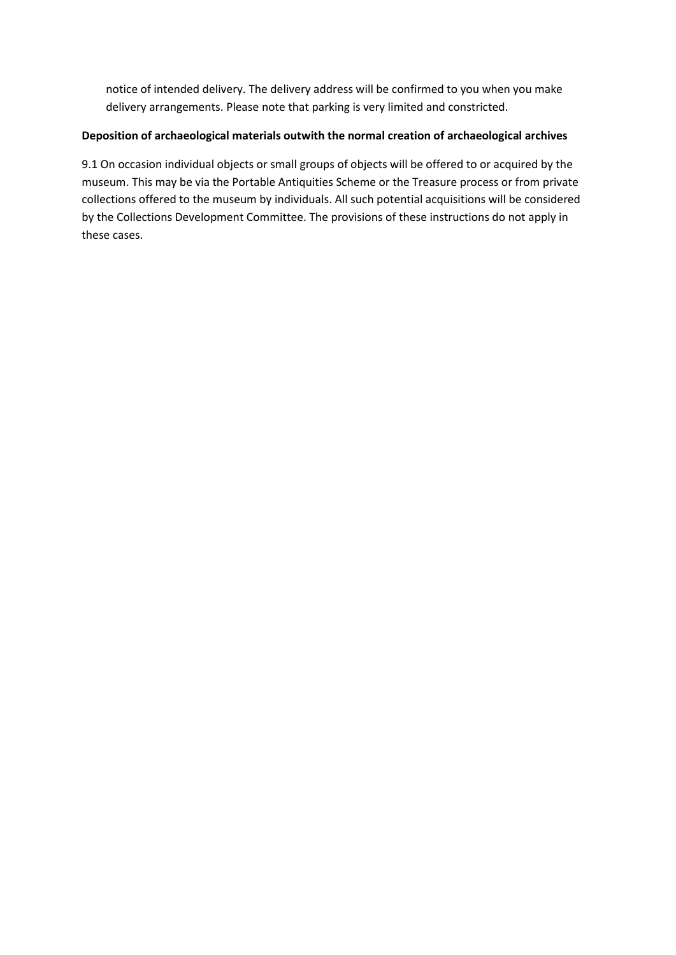notice of intended delivery. The delivery address will be confirmed to you when you make delivery arrangements. Please note that parking is very limited and constricted.

# **Deposition of archaeological materials outwith the normal creation of archaeological archives**

9.1 On occasion individual objects or small groups of objects will be offered to or acquired by the museum. This may be via the Portable Antiquities Scheme or the Treasure process or from private collections offered to the museum by individuals. All such potential acquisitions will be considered by the Collections Development Committee. The provisions of these instructions do not apply in these cases.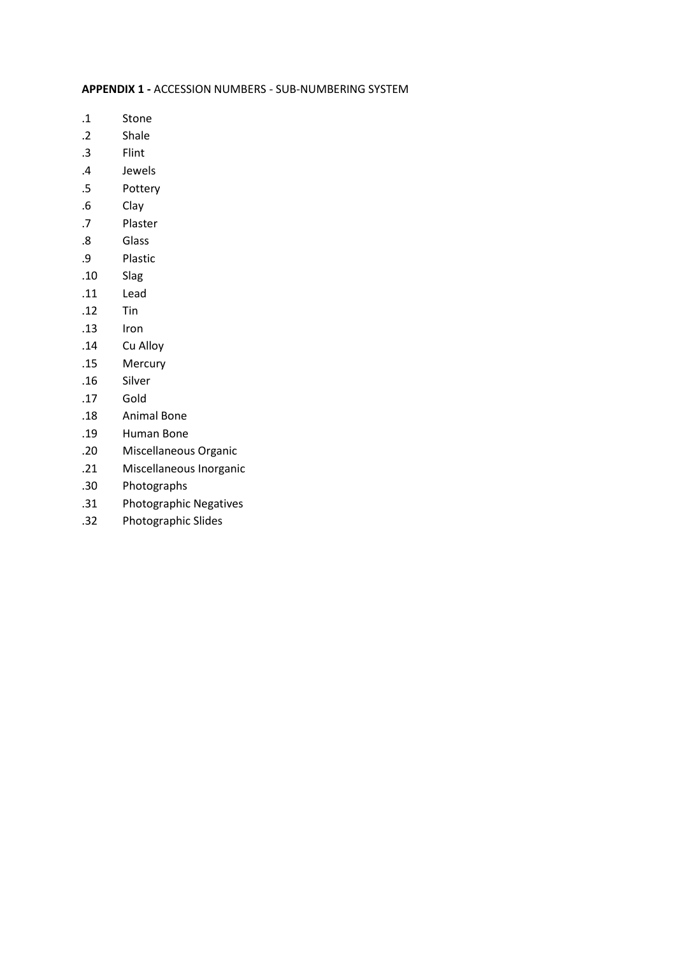#### **APPENDIX 1 -** ACCESSION NUMBERS - SUB-NUMBERING SYSTEM

- .1 Stone
- .2 Shale
- .3 Flint
- .4 Jewels
- .5 Pottery
- .6 Clay
- .7 Plaster
- .8 Glass
- .9 Plastic
- .10 Slag
- .11 Lead
- .12 Tin
- .13 Iron
- .14 Cu Alloy
- .15 Mercury
- .16 Silver
- .17 Gold
- .18 Animal Bone
- .19 Human Bone
- .20 Miscellaneous Organic
- .21 Miscellaneous Inorganic
- .30 Photographs
- .31 Photographic Negatives
- .32 Photographic Slides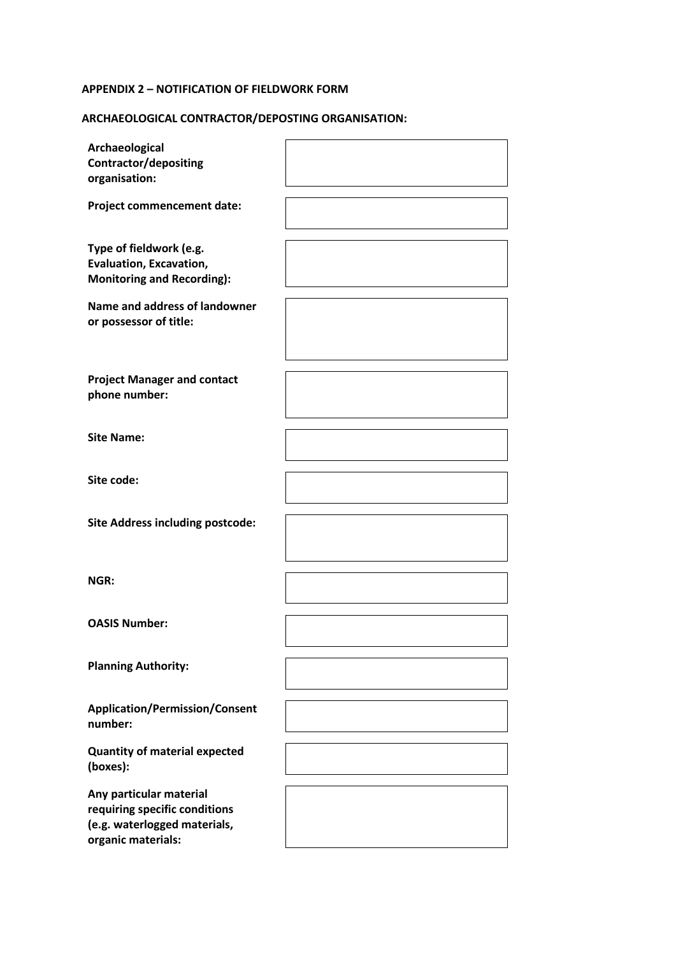## **APPENDIX 2 – NOTIFICATION OF FIELDWORK FORM**

# **ARCHAEOLOGICAL CONTRACTOR/DEPOSTING ORGANISATION:**

| Archaeological<br><b>Contractor/depositing</b><br>organisation:                                                |  |
|----------------------------------------------------------------------------------------------------------------|--|
| Project commencement date:                                                                                     |  |
| Type of fieldwork (e.g.<br><b>Evaluation, Excavation,</b><br><b>Monitoring and Recording):</b>                 |  |
| Name and address of landowner<br>or possessor of title:                                                        |  |
| <b>Project Manager and contact</b><br>phone number:                                                            |  |
| <b>Site Name:</b>                                                                                              |  |
| Site code:                                                                                                     |  |
| <b>Site Address including postcode:</b>                                                                        |  |
| NGR:                                                                                                           |  |
| <b>OASIS Number:</b>                                                                                           |  |
| <b>Planning Authority:</b>                                                                                     |  |
| <b>Application/Permission/Consent</b><br>number:                                                               |  |
| <b>Quantity of material expected</b><br>(boxes):                                                               |  |
| Any particular material<br>requiring specific conditions<br>(e.g. waterlogged materials,<br>organic materials: |  |